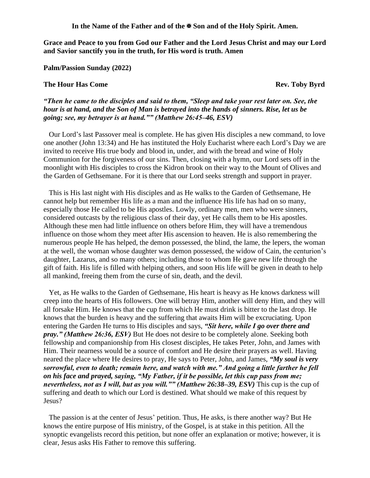**In the Name of the Father and of the Son and of the Holy Spirit. Amen.**

**Grace and Peace to you from God our Father and the Lord Jesus Christ and may our Lord and Savior sanctify you in the truth, for His word is truth. Amen**

**Palm/Passion Sunday (2022)**

## **The Hour Has Come Rev. Toby Byrd**

*"Then he came to the disciples and said to them, "Sleep and take your rest later on. See, the hour is at hand, and the Son of Man is betrayed into the hands of sinners. Rise, let us be going; see, my betrayer is at hand."" (Matthew 26:45–46, ESV)* 

Our Lord's last Passover meal is complete. He has given His disciples a new command, to love one another (John 13:34) and He has instituted the Holy Eucharist where each Lord's Day we are invited to receive His true body and blood in, under, and with the bread and wine of Holy Communion for the forgiveness of our sins. Then, closing with a hymn, our Lord sets off in the moonlight with His disciples to cross the Kidron brook on their way to the Mount of Olives and the Garden of Gethsemane. For it is there that our Lord seeks strength and support in prayer.

This is His last night with His disciples and as He walks to the Garden of Gethsemane, He cannot help but remember His life as a man and the influence His life has had on so many, especially those He called to be His apostles. Lowly, ordinary men, men who were sinners, considered outcasts by the religious class of their day, yet He calls them to be His apostles. Although these men had little influence on others before Him, they will have a tremendous influence on those whom they meet after His ascension to heaven. He is also remembering the numerous people He has helped, the demon possessed, the blind, the lame, the lepers, the woman at the well, the woman whose daughter was demon possessed, the widow of Cain, the centurion's daughter, Lazarus, and so many others; including those to whom He gave new life through the gift of faith. His life is filled with helping others, and soon His life will be given in death to help all mankind, freeing them from the curse of sin, death, and the devil.

Yet, as He walks to the Garden of Gethsemane, His heart is heavy as He knows darkness will creep into the hearts of His followers. One will betray Him, another will deny Him, and they will all forsake Him. He knows that the cup from which He must drink is bitter to the last drop. He knows that the burden is heavy and the suffering that awaits Him will be excruciating. Upon entering the Garden He turns to His disciples and says, *"Sit here, while I go over there and pray." (Matthew 26:36, ESV)* But He does not desire to be completely alone. Seeking both fellowship and companionship from His closest disciples, He takes Peter, John, and James with Him. Their nearness would be a source of comfort and He desire their prayers as well. Having neared the place where He desires to pray, He says to Peter, John, and James, *"My soul is very sorrowful, even to death; remain here, and watch with me." And going a little farther he fell on his face and prayed, saying, "My Father, if it be possible, let this cup pass from me; nevertheless, not as I will, but as you will."" (Matthew 26:38–39, ESV)* This cup is the cup of suffering and death to which our Lord is destined. What should we make of this request by Jesus?

The passion is at the center of Jesus' petition. Thus, He asks, is there another way? But He knows the entire purpose of His ministry, of the Gospel, is at stake in this petition. All the synoptic evangelists record this petition, but none offer an explanation or motive; however, it is clear, Jesus asks His Father to remove this suffering.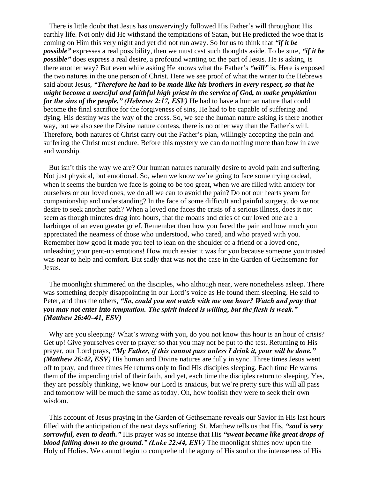There is little doubt that Jesus has unswervingly followed His Father's will throughout His earthly life. Not only did He withstand the temptations of Satan, but He predicted the woe that is coming on Him this very night and yet did not run away. So for us to think that *"if it be possible"* expresses a real possibility, then we must cast such thoughts aside. To be sure, *"if it be possible*" does express a real desire, a profound wanting on the part of Jesus. He is asking, is there another way? But even while asking He knows what the Father's *"will"* is. Here is exposed the two natures in the one person of Christ. Here we see proof of what the writer to the Hebrews said about Jesus, *"Therefore he had to be made like his brothers in every respect, so that he might become a merciful and faithful high priest in the service of God, to make propitiation for the sins of the people." (Hebrews 2:17, ESV)* He had to have a human nature that could become the final sacrifice for the forgiveness of sins, He had to be capable of suffering and dying. His destiny was the way of the cross. So, we see the human nature asking is there another way, but we also see the Divine nature confess, there is no other way than the Father's will. Therefore, both natures of Christ carry out the Father's plan, willingly accepting the pain and suffering the Christ must endure. Before this mystery we can do nothing more than bow in awe and worship.

But isn't this the way we are? Our human natures naturally desire to avoid pain and suffering. Not just physical, but emotional. So, when we know we're going to face some trying ordeal, when it seems the burden we face is going to be too great, when we are filled with anxiety for ourselves or our loved ones, we do all we can to avoid the pain? Do not our hearts yearn for companionship and understanding? In the face of some difficult and painful surgery, do we not desire to seek another path? When a loved one faces the crisis of a serious illness, does it not seem as though minutes drag into hours, that the moans and cries of our loved one are a harbinger of an even greater grief. Remember then how you faced the pain and how much you appreciated the nearness of those who understood, who cared, and who prayed with you. Remember how good it made you feel to lean on the shoulder of a friend or a loved one, unleashing your pent-up emotions! How much easier it was for you because someone you trusted was near to help and comfort. But sadly that was not the case in the Garden of Gethsemane for Jesus.

The moonlight shimmered on the disciples, who although near, were nonetheless asleep. There was something deeply disappointing in our Lord's voice as He found them sleeping. He said to Peter, and thus the others, *"So, could you not watch with me one hour? Watch and pray that you may not enter into temptation. The spirit indeed is willing, but the flesh is weak." (Matthew 26:40–41, ESV)*

Why are you sleeping? What's wrong with you, do you not know this hour is an hour of crisis? Get up! Give yourselves over to prayer so that you may not be put to the test. Returning to His prayer, our Lord prays, *"My Father, if this cannot pass unless I drink it, your will be done." (Matthew 26:42, ESV)* His human and Divine natures are fully in sync. Three times Jesus went off to pray, and three times He returns only to find His disciples sleeping. Each time He warns them of the impending trial of their faith, and yet, each time the disciples return to sleeping. Yes, they are possibly thinking, we know our Lord is anxious, but we're pretty sure this will all pass and tomorrow will be much the same as today. Oh, how foolish they were to seek their own wisdom.

This account of Jesus praying in the Garden of Gethsemane reveals our Savior in His last hours filled with the anticipation of the next days suffering. St. Matthew tells us that His, *"soul is very sorrowful, even to death."* His prayer was so intense that His *"sweat became like great drops of blood falling down to the ground." (Luke 22:44, ESV)* The moonlight shines now upon the Holy of Holies. We cannot begin to comprehend the agony of His soul or the intenseness of His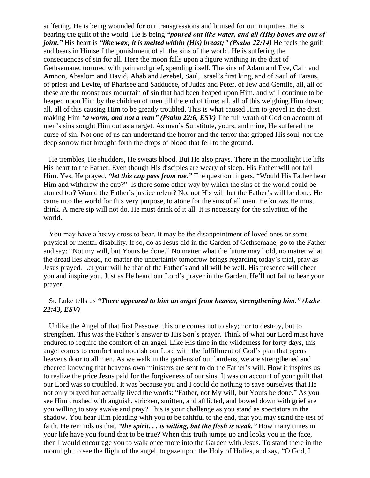suffering. He is being wounded for our transgressions and bruised for our iniquities. He is bearing the guilt of the world. He is being *"poured out like water, and all (His) bones are out of joint."* His heart is *"like wax; it is melted within (His) breast;" (Psalm 22:14)* He feels the guilt and bears in Himself the punishment of all the sins of the world. He is suffering the consequences of sin for all. Here the moon falls upon a figure writhing in the dust of Gethsemane, tortured with pain and grief, spending itself. The sins of Adam and Eve, Cain and Amnon, Absalom and David, Ahab and Jezebel, Saul, Israel's first king, and of Saul of Tarsus, of priest and Levite, of Pharisee and Sadducee, of Judas and Peter, of Jew and Gentile, all, all of these are the monstrous mountain of sin that had been heaped upon Him, and will continue to be heaped upon Him by the children of men till the end of time; all, all of this weighing Him down; all, all of this causing Him to be greatly troubled. This is what caused Him to grovel in the dust making Him *"a worm, and not a man" (Psalm 22:6, ESV)* The full wrath of God on account of men's sins sought Him out as a target. As man's Substitute, yours, and mine, He suffered the curse of sin. Not one of us can understand the horror and the terror that gripped His soul, nor the deep sorrow that brought forth the drops of blood that fell to the ground.

He trembles, He shudders, He sweats blood. But He also prays. There in the moonlight He lifts His heart to the Father. Even though His disciples are weary of sleep. His Father will not fail Him. Yes, He prayed, *"let this cup pass from me."* The question lingers, "Would His Father hear Him and withdraw the cup?" Is there some other way by which the sins of the world could be atoned for? Would the Father's justice relent? No, not His will but the Father's will be done. He came into the world for this very purpose, to atone for the sins of all men. He knows He must drink. A mere sip will not do. He must drink of it all. It is necessary for the salvation of the world.

You may have a heavy cross to bear. It may be the disappointment of loved ones or some physical or mental disability. If so, do as Jesus did in the Garden of Gethsemane, go to the Father and say: "Not my will, but Yours be done." No matter what the future may hold, no matter what the dread lies ahead, no matter the uncertainty tomorrow brings regarding today's trial, pray as Jesus prayed. Let your will be that of the Father's and all will be well. His presence will cheer you and inspire you. Just as He heard our Lord's prayer in the Garden, He'll not fail to hear your prayer.

## St. Luke tells us *"There appeared to him an angel from heaven, strengthening him." (Luke 22:43, ESV)*

Unlike the Angel of that first Passover this one comes not to slay; nor to destroy, but to strengthen. This was the Father's answer to His Son's prayer. Think of what our Lord must have endured to require the comfort of an angel. Like His time in the wilderness for forty days, this angel comes to comfort and nourish our Lord with the fulfillment of God's plan that opens heavens door to all men. As we walk in the gardens of our burdens, we are strengthened and cheered knowing that heavens own ministers are sent to do the Father's will. How it inspires us to realize the price Jesus paid for the forgiveness of our sins. It was on account of your guilt that our Lord was so troubled. It was because you and I could do nothing to save ourselves that He not only prayed but actually lived the words: "Father, not My will, but Yours be done." As you see Him crushed with anguish, stricken, smitten, and afflicted, and bowed down with grief are you willing to stay awake and pray? This is your challenge as you stand as spectators in the shadow. You hear Him pleading with you to be faithful to the end, that you may stand the test of faith. He reminds us that, *"the spirit. . . is willing, but the flesh is weak."* How many times in your life have you found that to be true? When this truth jumps up and looks you in the face, then I would encourage you to walk once more into the Garden with Jesus. To stand there in the moonlight to see the flight of the angel, to gaze upon the Holy of Holies, and say, "O God, I